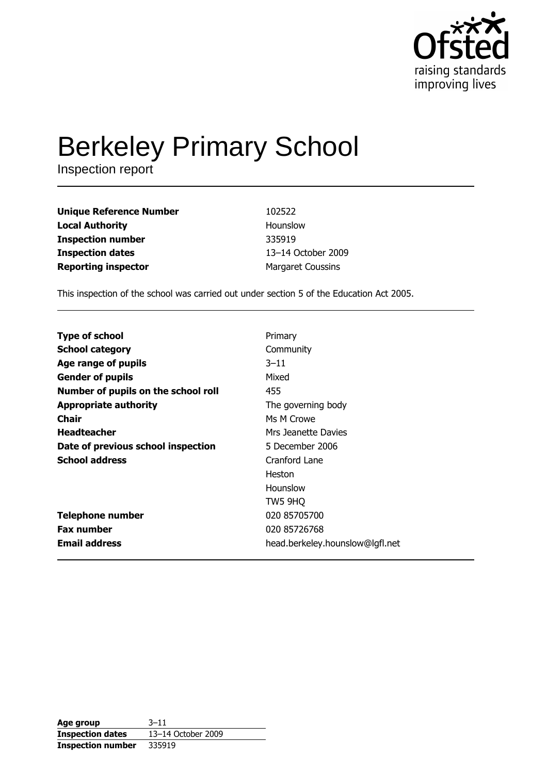

# **Berkeley Primary School**

Inspection report

| <b>Unique Reference Number</b> | 102522                   |
|--------------------------------|--------------------------|
| <b>Local Authority</b>         | Hounslow                 |
| <b>Inspection number</b>       | 335919                   |
| <b>Inspection dates</b>        | 13-14 October 2009       |
| <b>Reporting inspector</b>     | <b>Margaret Coussins</b> |

This inspection of the school was carried out under section 5 of the Education Act 2005.

| <b>Type of school</b>               | Primary                         |
|-------------------------------------|---------------------------------|
| <b>School category</b>              | Community                       |
| Age range of pupils                 | $3 - 11$                        |
| <b>Gender of pupils</b>             | Mixed                           |
| Number of pupils on the school roll | 455                             |
| <b>Appropriate authority</b>        | The governing body              |
| Chair                               | Ms M Crowe                      |
| <b>Headteacher</b>                  | Mrs Jeanette Davies             |
| Date of previous school inspection  | 5 December 2006                 |
| <b>School address</b>               | Cranford Lane                   |
|                                     | Heston                          |
|                                     | Hounslow                        |
|                                     | TW5 9HQ                         |
| <b>Telephone number</b>             | 020 85705700                    |
| <b>Fax number</b>                   | 020 85726768                    |
| <b>Email address</b>                | head.berkeley.hounslow@lgfl.net |

| Age group                | $3 - 11$           |
|--------------------------|--------------------|
| <b>Inspection dates</b>  | 13-14 October 2009 |
| <b>Inspection number</b> | 335919             |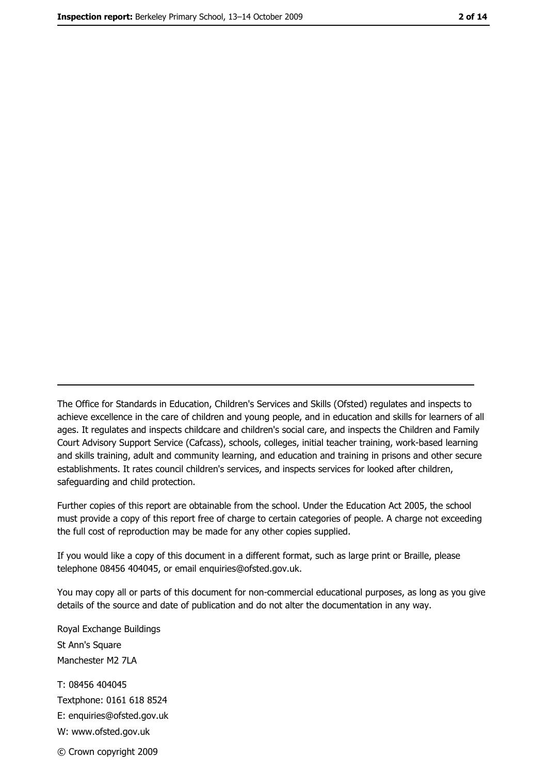The Office for Standards in Education, Children's Services and Skills (Ofsted) regulates and inspects to achieve excellence in the care of children and young people, and in education and skills for learners of all ages. It regulates and inspects childcare and children's social care, and inspects the Children and Family Court Advisory Support Service (Cafcass), schools, colleges, initial teacher training, work-based learning and skills training, adult and community learning, and education and training in prisons and other secure establishments. It rates council children's services, and inspects services for looked after children, safequarding and child protection.

Further copies of this report are obtainable from the school. Under the Education Act 2005, the school must provide a copy of this report free of charge to certain categories of people. A charge not exceeding the full cost of reproduction may be made for any other copies supplied.

If you would like a copy of this document in a different format, such as large print or Braille, please telephone 08456 404045, or email enquiries@ofsted.gov.uk.

You may copy all or parts of this document for non-commercial educational purposes, as long as you give details of the source and date of publication and do not alter the documentation in any way.

Royal Exchange Buildings St Ann's Square Manchester M2 7LA T: 08456 404045 Textphone: 0161 618 8524 E: enquiries@ofsted.gov.uk W: www.ofsted.gov.uk © Crown copyright 2009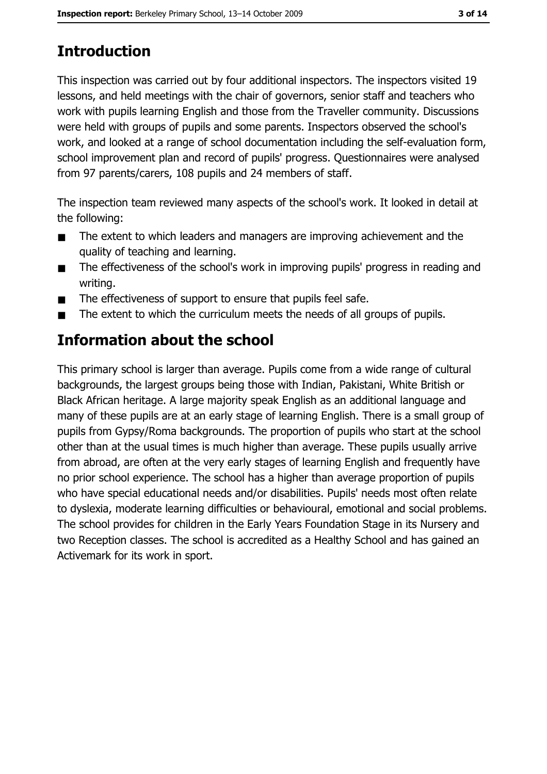# **Introduction**

This inspection was carried out by four additional inspectors. The inspectors visited 19 lessons, and held meetings with the chair of governors, senior staff and teachers who work with pupils learning English and those from the Traveller community. Discussions were held with groups of pupils and some parents. Inspectors observed the school's work, and looked at a range of school documentation including the self-evaluation form, school improvement plan and record of pupils' progress. Questionnaires were analysed from 97 parents/carers, 108 pupils and 24 members of staff.

The inspection team reviewed many aspects of the school's work. It looked in detail at the following:

- The extent to which leaders and managers are improving achievement and the  $\blacksquare$ quality of teaching and learning.
- The effectiveness of the school's work in improving pupils' progress in reading and  $\blacksquare$ writing.
- The effectiveness of support to ensure that pupils feel safe.  $\blacksquare$
- The extent to which the curriculum meets the needs of all groups of pupils.

# Information about the school

This primary school is larger than average. Pupils come from a wide range of cultural backgrounds, the largest groups being those with Indian, Pakistani, White British or Black African heritage. A large majority speak English as an additional language and many of these pupils are at an early stage of learning English. There is a small group of pupils from Gypsy/Roma backgrounds. The proportion of pupils who start at the school other than at the usual times is much higher than average. These pupils usually arrive from abroad, are often at the very early stages of learning English and frequently have no prior school experience. The school has a higher than average proportion of pupils who have special educational needs and/or disabilities. Pupils' needs most often relate to dyslexia, moderate learning difficulties or behavioural, emotional and social problems. The school provides for children in the Early Years Foundation Stage in its Nursery and two Reception classes. The school is accredited as a Healthy School and has gained an Activemark for its work in sport.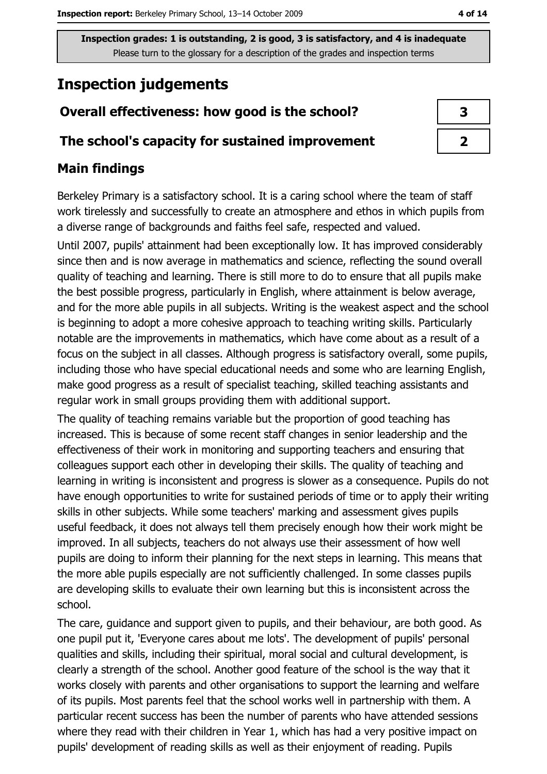# **Inspection judgements**

## Overall effectiveness: how good is the school?

#### The school's capacity for sustained improvement

#### **Main findings**

Berkeley Primary is a satisfactory school. It is a caring school where the team of staff work tirelessly and successfully to create an atmosphere and ethos in which pupils from a diverse range of backgrounds and faiths feel safe, respected and valued.

Until 2007, pupils' attainment had been exceptionally low. It has improved considerably since then and is now average in mathematics and science, reflecting the sound overall quality of teaching and learning. There is still more to do to ensure that all pupils make the best possible progress, particularly in English, where attainment is below average, and for the more able pupils in all subjects. Writing is the weakest aspect and the school is beginning to adopt a more cohesive approach to teaching writing skills. Particularly notable are the improvements in mathematics, which have come about as a result of a focus on the subject in all classes. Although progress is satisfactory overall, some pupils, including those who have special educational needs and some who are learning English, make good progress as a result of specialist teaching, skilled teaching assistants and regular work in small groups providing them with additional support.

The quality of teaching remains variable but the proportion of good teaching has increased. This is because of some recent staff changes in senior leadership and the effectiveness of their work in monitoring and supporting teachers and ensuring that colleagues support each other in developing their skills. The quality of teaching and learning in writing is inconsistent and progress is slower as a consequence. Pupils do not have enough opportunities to write for sustained periods of time or to apply their writing skills in other subjects. While some teachers' marking and assessment gives pupils useful feedback, it does not always tell them precisely enough how their work might be improved. In all subjects, teachers do not always use their assessment of how well pupils are doing to inform their planning for the next steps in learning. This means that the more able pupils especially are not sufficiently challenged. In some classes pupils are developing skills to evaluate their own learning but this is inconsistent across the school.

The care, guidance and support given to pupils, and their behaviour, are both good. As one pupil put it, 'Everyone cares about me lots'. The development of pupils' personal qualities and skills, including their spiritual, moral social and cultural development, is clearly a strength of the school. Another good feature of the school is the way that it works closely with parents and other organisations to support the learning and welfare of its pupils. Most parents feel that the school works well in partnership with them. A particular recent success has been the number of parents who have attended sessions where they read with their children in Year 1, which has had a very positive impact on pupils' development of reading skills as well as their enjoyment of reading. Pupils

| 3 |
|---|
|   |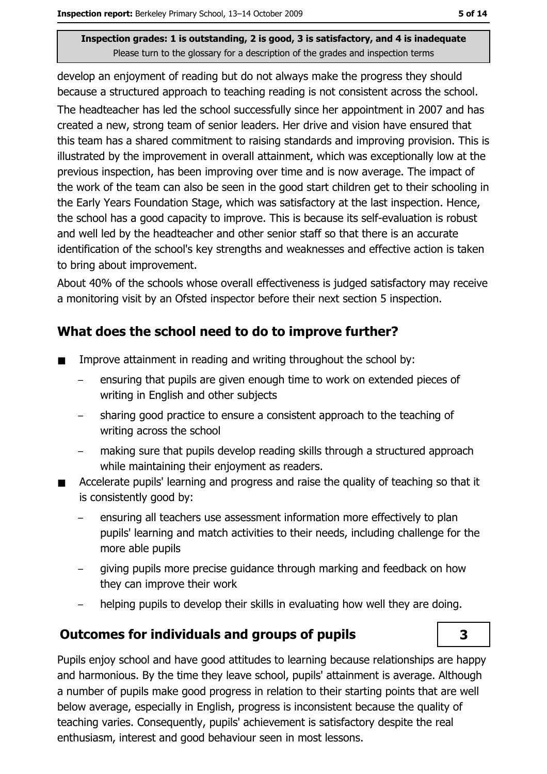develop an enjoyment of reading but do not always make the progress they should because a structured approach to teaching reading is not consistent across the school. The headteacher has led the school successfully since her appointment in 2007 and has created a new, strong team of senior leaders. Her drive and vision have ensured that this team has a shared commitment to raising standards and improving provision. This is illustrated by the improvement in overall attainment, which was exceptionally low at the previous inspection, has been improving over time and is now average. The impact of the work of the team can also be seen in the good start children get to their schooling in the Early Years Foundation Stage, which was satisfactory at the last inspection. Hence, the school has a good capacity to improve. This is because its self-evaluation is robust and well led by the headteacher and other senior staff so that there is an accurate identification of the school's key strengths and weaknesses and effective action is taken to bring about improvement.

About 40% of the schools whose overall effectiveness is judged satisfactory may receive a monitoring visit by an Ofsted inspector before their next section 5 inspection.

## What does the school need to do to improve further?

- Improve attainment in reading and writing throughout the school by:  $\blacksquare$ 
	- ensuring that pupils are given enough time to work on extended pieces of writing in English and other subjects
	- sharing good practice to ensure a consistent approach to the teaching of writing across the school
	- making sure that pupils develop reading skills through a structured approach while maintaining their enjoyment as readers.
- Accelerate pupils' learning and progress and raise the quality of teaching so that it is consistently good by:
	- ensuring all teachers use assessment information more effectively to plan pupils' learning and match activities to their needs, including challenge for the more able pupils
	- giving pupils more precise guidance through marking and feedback on how they can improve their work
	- helping pupils to develop their skills in evaluating how well they are doing.

## **Outcomes for individuals and groups of pupils**

Pupils enjoy school and have good attitudes to learning because relationships are happy and harmonious. By the time they leave school, pupils' attainment is average. Although a number of pupils make good progress in relation to their starting points that are well below average, especially in English, progress is inconsistent because the quality of teaching varies. Consequently, pupils' achievement is satisfactory despite the real enthusiasm, interest and good behaviour seen in most lessons.

3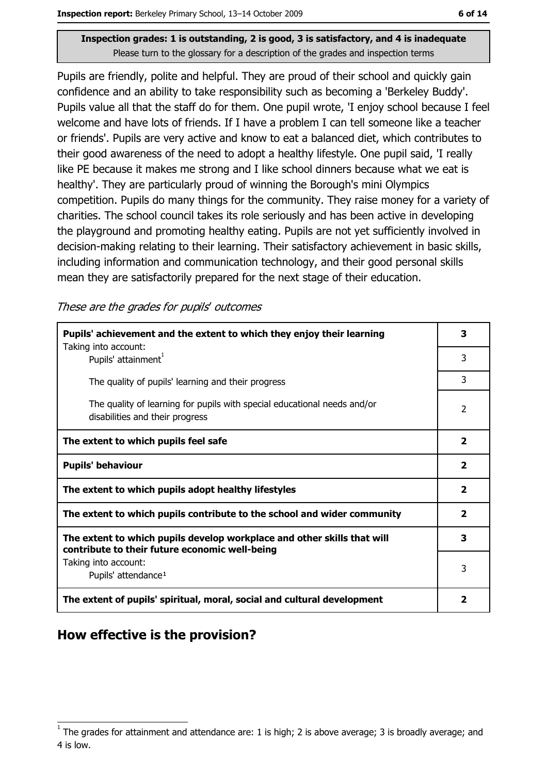Pupils are friendly, polite and helpful. They are proud of their school and quickly gain confidence and an ability to take responsibility such as becoming a 'Berkeley Buddy'. Pupils value all that the staff do for them. One pupil wrote, 'I enjoy school because I feel welcome and have lots of friends. If I have a problem I can tell someone like a teacher or friends'. Pupils are very active and know to eat a balanced diet, which contributes to their good awareness of the need to adopt a healthy lifestyle. One pupil said, 'I really like PE because it makes me strong and I like school dinners because what we eat is healthy'. They are particularly proud of winning the Borough's mini Olympics competition. Pupils do many things for the community. They raise money for a variety of charities. The school council takes its role seriously and has been active in developing the playground and promoting healthy eating. Pupils are not yet sufficiently involved in decision-making relating to their learning. Their satisfactory achievement in basic skills, including information and communication technology, and their good personal skills mean they are satisfactorily prepared for the next stage of their education.

These are the grades for pupils' outcomes

| Pupils' achievement and the extent to which they enjoy their learning                                                     |                         |  |
|---------------------------------------------------------------------------------------------------------------------------|-------------------------|--|
| Taking into account:<br>Pupils' attainment <sup>1</sup>                                                                   | 3                       |  |
| The quality of pupils' learning and their progress                                                                        | 3                       |  |
| The quality of learning for pupils with special educational needs and/or<br>disabilities and their progress               | 2                       |  |
| The extent to which pupils feel safe                                                                                      | $\overline{\mathbf{2}}$ |  |
| <b>Pupils' behaviour</b>                                                                                                  |                         |  |
| The extent to which pupils adopt healthy lifestyles                                                                       |                         |  |
| The extent to which pupils contribute to the school and wider community                                                   |                         |  |
| The extent to which pupils develop workplace and other skills that will<br>contribute to their future economic well-being | 3                       |  |
| Taking into account:<br>Pupils' attendance <sup>1</sup>                                                                   |                         |  |
| The extent of pupils' spiritual, moral, social and cultural development                                                   |                         |  |

## How effective is the provision?

The grades for attainment and attendance are: 1 is high; 2 is above average; 3 is broadly average; and 4 is low.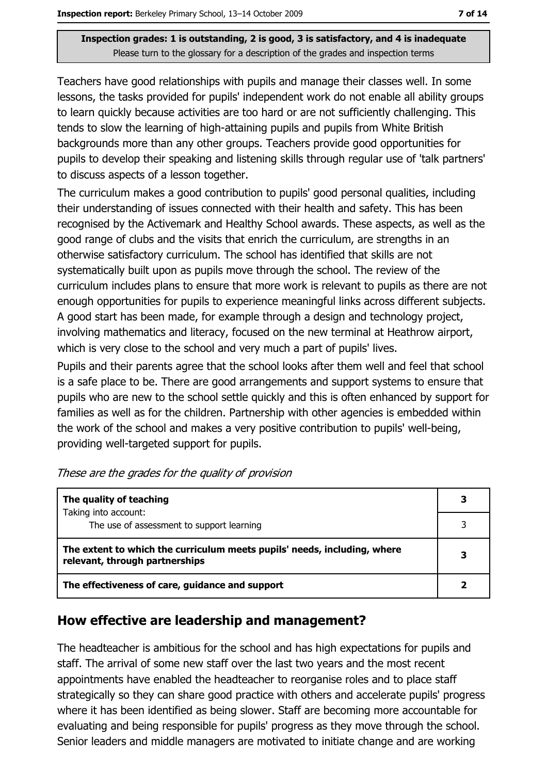Teachers have good relationships with pupils and manage their classes well. In some lessons, the tasks provided for pupils' independent work do not enable all ability groups to learn quickly because activities are too hard or are not sufficiently challenging. This tends to slow the learning of high-attaining pupils and pupils from White British backgrounds more than any other groups. Teachers provide good opportunities for pupils to develop their speaking and listening skills through regular use of 'talk partners' to discuss aspects of a lesson together.

The curriculum makes a good contribution to pupils' good personal qualities, including their understanding of issues connected with their health and safety. This has been recognised by the Activemark and Healthy School awards. These aspects, as well as the good range of clubs and the visits that enrich the curriculum, are strengths in an otherwise satisfactory curriculum. The school has identified that skills are not systematically built upon as pupils move through the school. The review of the curriculum includes plans to ensure that more work is relevant to pupils as there are not enough opportunities for pupils to experience meaningful links across different subjects. A good start has been made, for example through a design and technology project, involving mathematics and literacy, focused on the new terminal at Heathrow airport, which is very close to the school and very much a part of pupils' lives.

Pupils and their parents agree that the school looks after them well and feel that school is a safe place to be. There are good arrangements and support systems to ensure that pupils who are new to the school settle quickly and this is often enhanced by support for families as well as for the children. Partnership with other agencies is embedded within the work of the school and makes a very positive contribution to pupils' well-being, providing well-targeted support for pupils.

| The quality of teaching                                                                                    | 3 |
|------------------------------------------------------------------------------------------------------------|---|
| Taking into account:<br>The use of assessment to support learning                                          |   |
| The extent to which the curriculum meets pupils' needs, including, where<br>relevant, through partnerships |   |
| The effectiveness of care, guidance and support                                                            |   |

| These are the grades for the quality of provision |
|---------------------------------------------------|
|---------------------------------------------------|

## How effective are leadership and management?

The headteacher is ambitious for the school and has high expectations for pupils and staff. The arrival of some new staff over the last two years and the most recent appointments have enabled the headteacher to reorganise roles and to place staff strategically so they can share good practice with others and accelerate pupils' progress where it has been identified as being slower. Staff are becoming more accountable for evaluating and being responsible for pupils' progress as they move through the school. Senior leaders and middle managers are motivated to initiate change and are working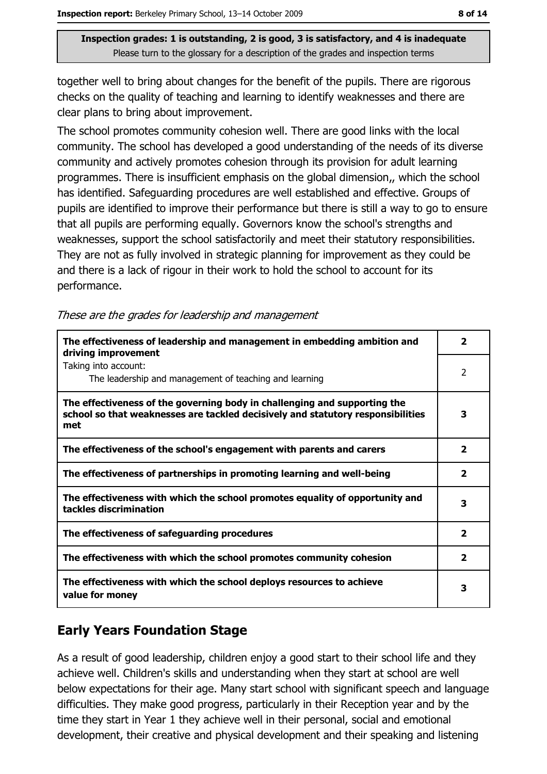together well to bring about changes for the benefit of the pupils. There are rigorous checks on the quality of teaching and learning to identify weaknesses and there are clear plans to bring about improvement.

The school promotes community cohesion well. There are good links with the local community. The school has developed a good understanding of the needs of its diverse community and actively promotes cohesion through its provision for adult learning programmes. There is insufficient emphasis on the global dimension,, which the school has identified. Safeguarding procedures are well established and effective. Groups of pupils are identified to improve their performance but there is still a way to go to ensure that all pupils are performing equally. Governors know the school's strengths and weaknesses, support the school satisfactorily and meet their statutory responsibilities. They are not as fully involved in strategic planning for improvement as they could be and there is a lack of rigour in their work to hold the school to account for its performance.

|  | These are the grades for leadership and management |  |
|--|----------------------------------------------------|--|
|  |                                                    |  |

| The effectiveness of leadership and management in embedding ambition and<br>driving improvement                                                                     | $\mathbf{2}$            |
|---------------------------------------------------------------------------------------------------------------------------------------------------------------------|-------------------------|
| Taking into account:<br>The leadership and management of teaching and learning                                                                                      | 2                       |
| The effectiveness of the governing body in challenging and supporting the<br>school so that weaknesses are tackled decisively and statutory responsibilities<br>met | 3                       |
| The effectiveness of the school's engagement with parents and carers                                                                                                | $\overline{\mathbf{2}}$ |
| The effectiveness of partnerships in promoting learning and well-being                                                                                              | $\overline{\mathbf{2}}$ |
| The effectiveness with which the school promotes equality of opportunity and<br>tackles discrimination                                                              |                         |
| The effectiveness of safeguarding procedures                                                                                                                        | $\overline{\mathbf{2}}$ |
| The effectiveness with which the school promotes community cohesion                                                                                                 | $\overline{\mathbf{2}}$ |
| The effectiveness with which the school deploys resources to achieve<br>value for money                                                                             | з                       |

## **Early Years Foundation Stage**

As a result of good leadership, children enjoy a good start to their school life and they achieve well. Children's skills and understanding when they start at school are well below expectations for their age. Many start school with significant speech and language difficulties. They make good progress, particularly in their Reception year and by the time they start in Year 1 they achieve well in their personal, social and emotional development, their creative and physical development and their speaking and listening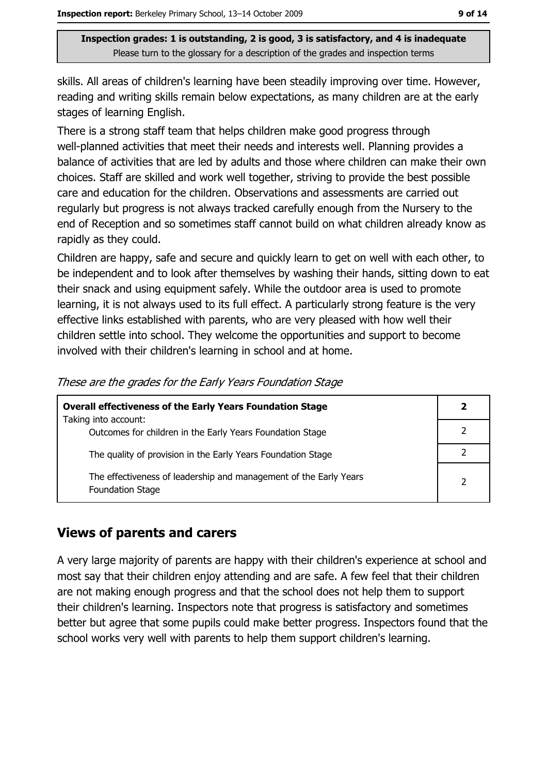skills. All areas of children's learning have been steadily improving over time. However, reading and writing skills remain below expectations, as many children are at the early stages of learning English.

There is a strong staff team that helps children make good progress through well-planned activities that meet their needs and interests well. Planning provides a balance of activities that are led by adults and those where children can make their own choices. Staff are skilled and work well together, striving to provide the best possible care and education for the children. Observations and assessments are carried out regularly but progress is not always tracked carefully enough from the Nursery to the end of Reception and so sometimes staff cannot build on what children already know as rapidly as they could.

Children are happy, safe and secure and quickly learn to get on well with each other, to be independent and to look after themselves by washing their hands, sitting down to eat their snack and using equipment safely. While the outdoor area is used to promote learning, it is not always used to its full effect. A particularly strong feature is the very effective links established with parents, who are very pleased with how well their children settle into school. They welcome the opportunities and support to become involved with their children's learning in school and at home.

| <b>Overall effectiveness of the Early Years Foundation Stage</b><br>Taking into account:     | $\mathbf{2}$   |
|----------------------------------------------------------------------------------------------|----------------|
| Outcomes for children in the Early Years Foundation Stage                                    |                |
| The quality of provision in the Early Years Foundation Stage                                 |                |
| The effectiveness of leadership and management of the Early Years<br><b>Foundation Stage</b> | $\overline{2}$ |

These are the grades for the Early Years Foundation Stage

#### **Views of parents and carers**

A very large majority of parents are happy with their children's experience at school and most say that their children enjoy attending and are safe. A few feel that their children are not making enough progress and that the school does not help them to support their children's learning. Inspectors note that progress is satisfactory and sometimes better but agree that some pupils could make better progress. Inspectors found that the school works very well with parents to help them support children's learning.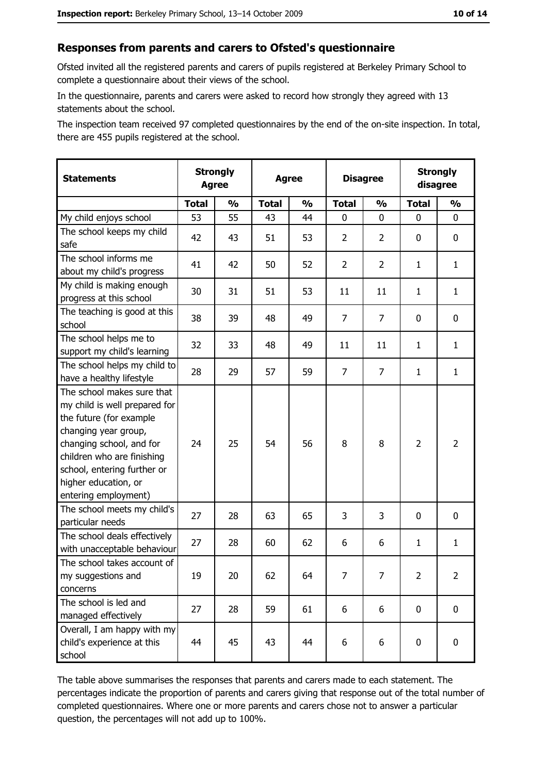#### Responses from parents and carers to Ofsted's questionnaire

Ofsted invited all the registered parents and carers of pupils registered at Berkeley Primary School to complete a questionnaire about their views of the school.

In the questionnaire, parents and carers were asked to record how strongly they agreed with 13 statements about the school.

The inspection team received 97 completed questionnaires by the end of the on-site inspection. In total, there are 455 pupils registered at the school.

| <b>Statements</b>                                                                                                                                                                                                                                       | <b>Agree</b> | <b>Strongly</b> | <b>Agree</b> |               | <b>Disagree</b> |                | <b>Strongly</b><br>disagree |                |
|---------------------------------------------------------------------------------------------------------------------------------------------------------------------------------------------------------------------------------------------------------|--------------|-----------------|--------------|---------------|-----------------|----------------|-----------------------------|----------------|
|                                                                                                                                                                                                                                                         | <b>Total</b> | $\frac{1}{2}$   | <b>Total</b> | $\frac{0}{0}$ | <b>Total</b>    | $\frac{1}{2}$  | <b>Total</b>                | $\frac{1}{2}$  |
| My child enjoys school                                                                                                                                                                                                                                  | 53           | 55              | 43           | 44            | 0               | 0              | 0                           | 0              |
| The school keeps my child<br>safe                                                                                                                                                                                                                       | 42           | 43              | 51           | 53            | $\overline{2}$  | $\overline{2}$ | 0                           | 0              |
| The school informs me<br>about my child's progress                                                                                                                                                                                                      | 41           | 42              | 50           | 52            | $\overline{2}$  | $\overline{2}$ | 1                           | $\mathbf{1}$   |
| My child is making enough<br>progress at this school                                                                                                                                                                                                    | 30           | 31              | 51           | 53            | 11              | 11             | 1                           | $\mathbf{1}$   |
| The teaching is good at this<br>school                                                                                                                                                                                                                  | 38           | 39              | 48           | 49            | $\overline{7}$  | $\overline{7}$ | 0                           | 0              |
| The school helps me to<br>support my child's learning                                                                                                                                                                                                   | 32           | 33              | 48           | 49            | 11              | 11             | 1                           | $\mathbf{1}$   |
| The school helps my child to<br>have a healthy lifestyle                                                                                                                                                                                                | 28           | 29              | 57           | 59            | $\overline{7}$  | $\overline{7}$ | 1                           | $\mathbf{1}$   |
| The school makes sure that<br>my child is well prepared for<br>the future (for example<br>changing year group,<br>changing school, and for<br>children who are finishing<br>school, entering further or<br>higher education, or<br>entering employment) | 24           | 25              | 54           | 56            | 8               | 8              | $\overline{2}$              | $\overline{2}$ |
| The school meets my child's<br>particular needs                                                                                                                                                                                                         | 27           | 28              | 63           | 65            | 3               | 3              | 0                           | 0              |
| The school deals effectively<br>with unacceptable behaviour                                                                                                                                                                                             | 27           | 28              | 60           | 62            | 6               | 6              | $\mathbf{1}$                | $\mathbf{1}$   |
| The school takes account of<br>my suggestions and<br>concerns                                                                                                                                                                                           | 19           | 20              | 62           | 64            | 7               | 7              | $\overline{2}$              | $\overline{2}$ |
| The school is led and<br>managed effectively                                                                                                                                                                                                            | 27           | 28              | 59           | 61            | 6               | 6              | $\mathbf 0$                 | 0              |
| Overall, I am happy with my<br>child's experience at this<br>school                                                                                                                                                                                     | 44           | 45              | 43           | 44            | 6               | 6              | 0                           | 0              |

The table above summarises the responses that parents and carers made to each statement. The percentages indicate the proportion of parents and carers giving that response out of the total number of completed questionnaires. Where one or more parents and carers chose not to answer a particular question, the percentages will not add up to 100%.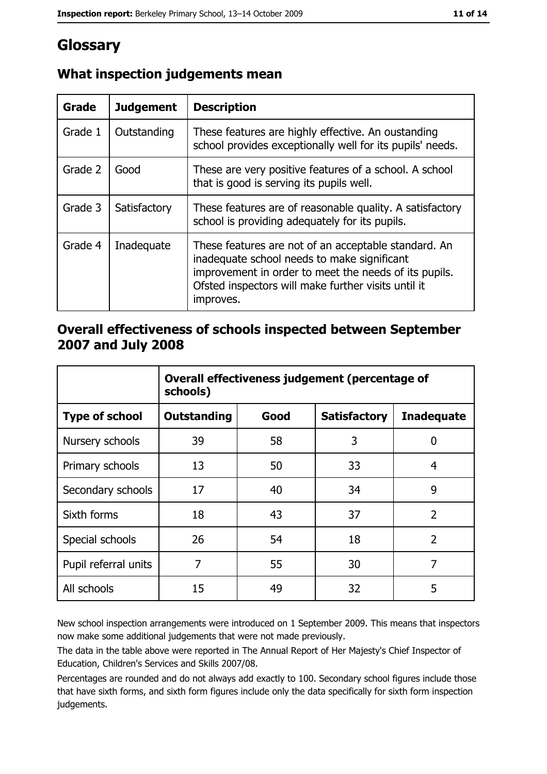# Glossary

| Grade   | <b>Judgement</b> | <b>Description</b>                                                                                                                                                                                                               |
|---------|------------------|----------------------------------------------------------------------------------------------------------------------------------------------------------------------------------------------------------------------------------|
| Grade 1 | Outstanding      | These features are highly effective. An oustanding<br>school provides exceptionally well for its pupils' needs.                                                                                                                  |
| Grade 2 | Good             | These are very positive features of a school. A school<br>that is good is serving its pupils well.                                                                                                                               |
| Grade 3 | Satisfactory     | These features are of reasonable quality. A satisfactory<br>school is providing adequately for its pupils.                                                                                                                       |
| Grade 4 | Inadequate       | These features are not of an acceptable standard. An<br>inadequate school needs to make significant<br>improvement in order to meet the needs of its pupils.<br>Ofsted inspectors will make further visits until it<br>improves. |

## What inspection judgements mean

#### Overall effectiveness of schools inspected between September 2007 and July 2008

|                       | Overall effectiveness judgement (percentage of<br>schools) |      |                     |                   |
|-----------------------|------------------------------------------------------------|------|---------------------|-------------------|
| <b>Type of school</b> | <b>Outstanding</b>                                         | Good | <b>Satisfactory</b> | <b>Inadequate</b> |
| Nursery schools       | 39                                                         | 58   | 3                   | 0                 |
| Primary schools       | 13                                                         | 50   | 33                  | 4                 |
| Secondary schools     | 17                                                         | 40   | 34                  | 9                 |
| Sixth forms           | 18                                                         | 43   | 37                  | $\overline{2}$    |
| Special schools       | 26                                                         | 54   | 18                  | $\overline{2}$    |
| Pupil referral units  | 7                                                          | 55   | 30                  | 7                 |
| All schools           | 15                                                         | 49   | 32                  | 5                 |

New school inspection arrangements were introduced on 1 September 2009. This means that inspectors now make some additional judgements that were not made previously.

The data in the table above were reported in The Annual Report of Her Majesty's Chief Inspector of Education, Children's Services and Skills 2007/08.

Percentages are rounded and do not always add exactly to 100. Secondary school figures include those that have sixth forms, and sixth form figures include only the data specifically for sixth form inspection judgements.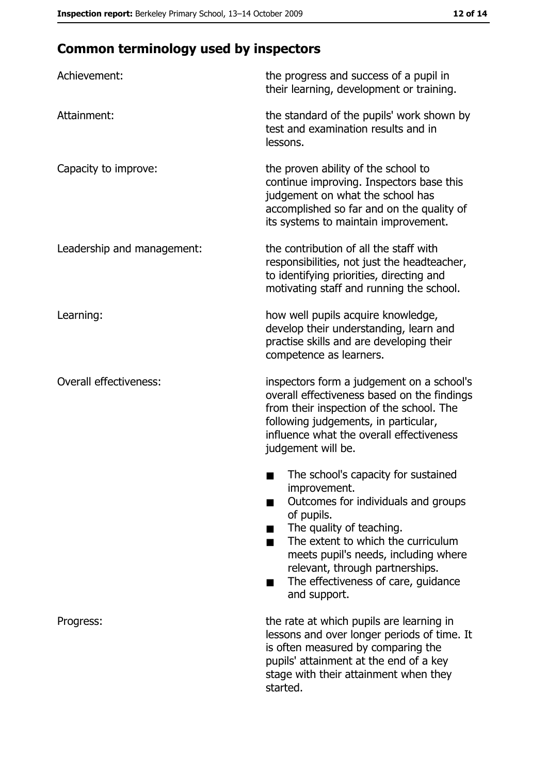# **Common terminology used by inspectors**

| Achievement:                  | the progress and success of a pupil in<br>their learning, development or training.                                                                                                                                                                                                                           |  |  |
|-------------------------------|--------------------------------------------------------------------------------------------------------------------------------------------------------------------------------------------------------------------------------------------------------------------------------------------------------------|--|--|
| Attainment:                   | the standard of the pupils' work shown by<br>test and examination results and in<br>lessons.                                                                                                                                                                                                                 |  |  |
| Capacity to improve:          | the proven ability of the school to<br>continue improving. Inspectors base this<br>judgement on what the school has<br>accomplished so far and on the quality of<br>its systems to maintain improvement.                                                                                                     |  |  |
| Leadership and management:    | the contribution of all the staff with<br>responsibilities, not just the headteacher,<br>to identifying priorities, directing and<br>motivating staff and running the school.                                                                                                                                |  |  |
| Learning:                     | how well pupils acquire knowledge,<br>develop their understanding, learn and<br>practise skills and are developing their<br>competence as learners.                                                                                                                                                          |  |  |
| <b>Overall effectiveness:</b> | inspectors form a judgement on a school's<br>overall effectiveness based on the findings<br>from their inspection of the school. The<br>following judgements, in particular,<br>influence what the overall effectiveness<br>judgement will be.                                                               |  |  |
|                               | The school's capacity for sustained<br>improvement.<br>Outcomes for individuals and groups<br>of pupils.<br>The quality of teaching.<br>The extent to which the curriculum<br>meets pupil's needs, including where<br>relevant, through partnerships.<br>The effectiveness of care, guidance<br>and support. |  |  |
| Progress:                     | the rate at which pupils are learning in<br>lessons and over longer periods of time. It<br>is often measured by comparing the<br>pupils' attainment at the end of a key<br>stage with their attainment when they<br>started.                                                                                 |  |  |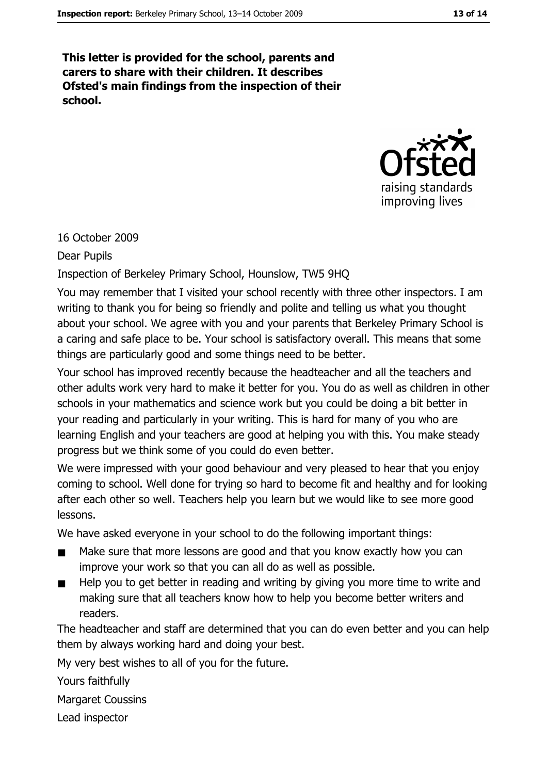This letter is provided for the school, parents and carers to share with their children. It describes Ofsted's main findings from the inspection of their school.



#### 16 October 2009

#### **Dear Pupils**

#### Inspection of Berkeley Primary School, Hounslow, TW5 9HQ

You may remember that I visited your school recently with three other inspectors. I am writing to thank you for being so friendly and polite and telling us what you thought about your school. We agree with you and your parents that Berkeley Primary School is a caring and safe place to be. Your school is satisfactory overall. This means that some things are particularly good and some things need to be better.

Your school has improved recently because the headteacher and all the teachers and other adults work very hard to make it better for you. You do as well as children in other schools in your mathematics and science work but you could be doing a bit better in your reading and particularly in your writing. This is hard for many of you who are learning English and your teachers are good at helping you with this. You make steady progress but we think some of you could do even better.

We were impressed with your good behaviour and very pleased to hear that you enjoy coming to school. Well done for trying so hard to become fit and healthy and for looking after each other so well. Teachers help you learn but we would like to see more good lessons.

We have asked everyone in your school to do the following important things:

- Make sure that more lessons are good and that you know exactly how you can improve your work so that you can all do as well as possible.
- Help you to get better in reading and writing by giving you more time to write and  $\blacksquare$ making sure that all teachers know how to help you become better writers and readers.

The headteacher and staff are determined that you can do even better and you can help them by always working hard and doing your best.

My very best wishes to all of you for the future.

Yours faithfully

**Margaret Coussins** 

Lead inspector